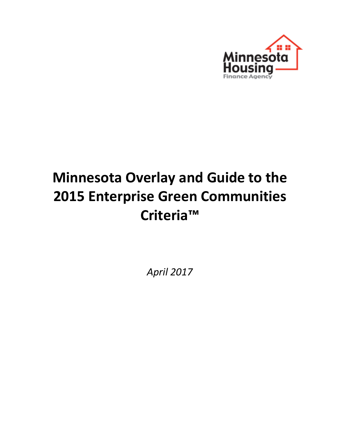

# **Minnesota Overlay and Guide to the 2015 Enterprise Green Communities Criteria™**

*April 2017*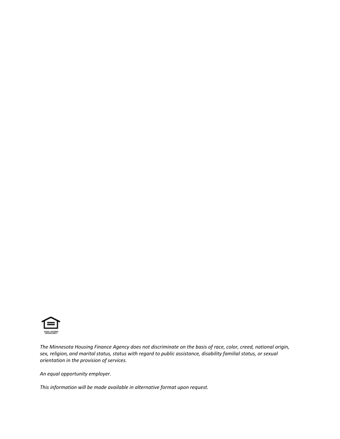

*The Minnesota Housing Finance Agency does not discriminate on the basis of race, color, creed, national origin, sex, religion, and marital status, status with regard to public assistance, disability familial status, or sexual orientation in the provision of services.*

*An equal opportunity employer.*

*This information will be made available in alternative format upon request.*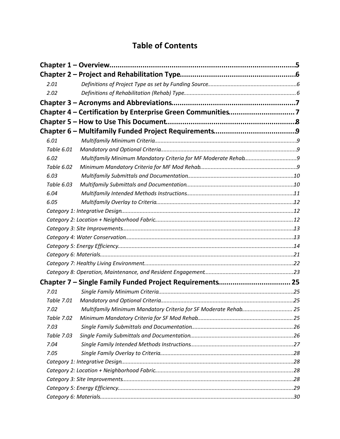# **Table of Contents**

| 2.01       |                                                                 |  |
|------------|-----------------------------------------------------------------|--|
| 2.02       |                                                                 |  |
|            |                                                                 |  |
|            | Chapter 4 - Certification by Enterprise Green Communities7      |  |
|            |                                                                 |  |
|            |                                                                 |  |
| 6.01       |                                                                 |  |
| Table 6.01 |                                                                 |  |
| 6.02       |                                                                 |  |
| Table 6.02 |                                                                 |  |
| 6.03       |                                                                 |  |
| Table 6.03 |                                                                 |  |
| 6.04       |                                                                 |  |
| 6.05       |                                                                 |  |
|            |                                                                 |  |
|            |                                                                 |  |
|            |                                                                 |  |
|            |                                                                 |  |
|            |                                                                 |  |
|            |                                                                 |  |
|            |                                                                 |  |
|            |                                                                 |  |
|            | Chapter 7 – Single Family Funded Project Requirements 25        |  |
| 7.01       |                                                                 |  |
| Table 7.01 |                                                                 |  |
| 7.02       | Multifamily Minimum Mandatory Criteria for SF Moderate Rehab 25 |  |
| Table 7.02 |                                                                 |  |
| 7.03       |                                                                 |  |
| Table 7.03 |                                                                 |  |
| 7.04       |                                                                 |  |
| 7.05       |                                                                 |  |
|            |                                                                 |  |
|            |                                                                 |  |
|            |                                                                 |  |
|            |                                                                 |  |
|            |                                                                 |  |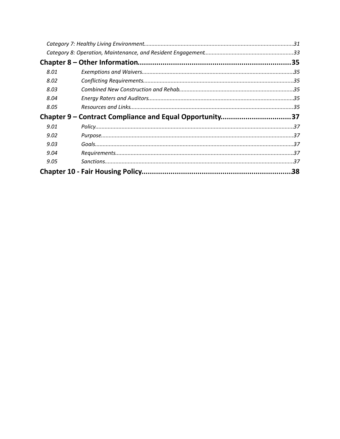| 8.01 |                                                         |  |
|------|---------------------------------------------------------|--|
| 8.02 |                                                         |  |
| 8.03 |                                                         |  |
| 8.04 |                                                         |  |
| 8.05 |                                                         |  |
|      | Chapter 9 – Contract Compliance and Equal Opportunity37 |  |
| 9.01 |                                                         |  |
| 9.02 |                                                         |  |
| 9.03 |                                                         |  |
| 9.04 |                                                         |  |
| 9.05 |                                                         |  |
|      |                                                         |  |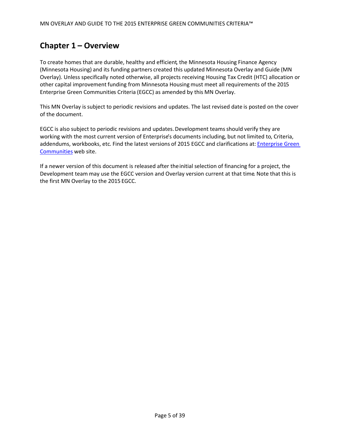# <span id="page-4-0"></span>**Chapter 1 – Overview**

To create homes that are durable, healthy and efficient, the Minnesota Housing Finance Agency (Minnesota Housing) and its funding partners created this updated Minnesota Overlay and Guide (MN Overlay). Unless specifically noted otherwise, all projects receiving Housing Tax Credit (HTC) allocation or other capital improvement funding from Minnesota Housing must meet all requirements of the 2015 Enterprise Green Communities Criteria (EGCC) as amended by this MN Overlay.

This MN Overlay is subject to periodic revisions and updates. The last revised date is posted on the cover of the document.

EGCC is also subject to periodic revisions and updates. Development teams should verify they are working with the most current version of Enterprise's documents including, but not limited to, Criteria, addendums, workbooks, etc. Find the latest versions of 2015 EGCC and clarifications at: [Enterprise Green](http://www.enterprisecommunity.com/solutions-and-innovation/enterprise-green-communities/criteria)  [Communities](http://www.enterprisecommunity.com/solutions-and-innovation/enterprise-green-communities/criteria) web site.

If a newer version of this document is released after the initial selection of financing for a project, the Development team may use the EGCC version and Overlay version current at that time. Note that this is the first MN Overlay to the 2015 EGCC.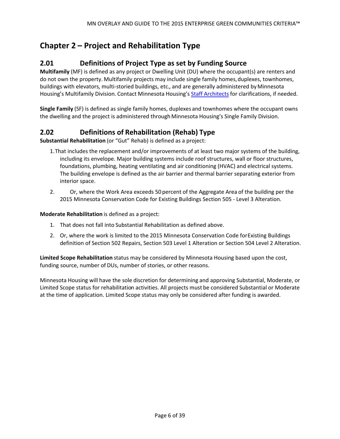# <span id="page-5-0"></span>**Chapter 2 – Project and Rehabilitation Type**

# <span id="page-5-1"></span>**2.01 Definitions of Project Type as set by Funding Source**

**Multifamily** (MF) is defined as any project or Dwelling Unit (DU) where the occupant(s) are renters and do not own the property. Multifamily projects may include single family homes, duplexes, townhomes, buildings with elevators, multi-storied buildings, etc., and are generally administered by Minnesota Housing's Multifamily Division. Contact Minnesota Housing's [Staff Architects](http://www.mnhousing.gov/get/MHFA_012063) for clarifications, if needed.

**Single Family** (SF) is defined as single family homes, duplexes and townhomes where the occupant owns the dwelling and the project is administered through Minnesota Housing's Single Family Division.

# <span id="page-5-2"></span>**2.02 Definitions of Rehabilitation (Rehab) Type**

**Substantial Rehabilitation** (or "Gut" Rehab) is defined as a project:

- 1.That includes the replacement and/or improvements of at least two major systems of the building, including its envelope. Major building systems include roof structures, wall or floor structures, foundations, plumbing, heating ventilating and air conditioning (HVAC) and electrical systems. The building envelope is defined as the air barrier and thermal barrier separating exterior from interior space.
- 2. Or, where the Work Area exceeds 50 percent of the Aggregate Area of the building per the 2015 Minnesota Conservation Code for Existing Buildings Section 505 - Level 3 Alteration.

#### **Moderate Rehabilitation** is defined as a project:

- 1. That does not fall into Substantial Rehabilitation as defined above.
- 2. Or, where the work is limited to the 2015 Minnesota Conservation Code for Existing Buildings definition of Section 502 Repairs, Section 503 Level 1 Alteration or Section 504 Level 2 Alteration.

**Limited Scope Rehabilitation** status may be considered by Minnesota Housing based upon the cost, funding source, number of DUs, number of stories, or other reasons.

Minnesota Housing will have the sole discretion for determining and approving Substantial, Moderate, or Limited Scope status for rehabilitation activities. All projects must be considered Substantial or Moderate at the time of application. Limited Scope status may only be considered after funding is awarded.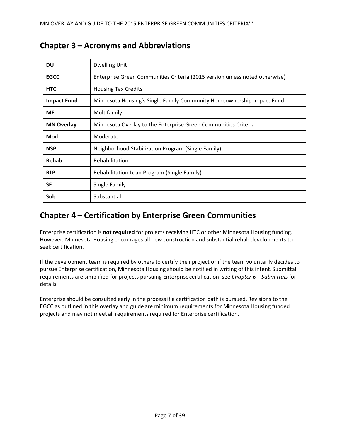| DU                 | <b>Dwelling Unit</b>                                                        |  |
|--------------------|-----------------------------------------------------------------------------|--|
| <b>EGCC</b>        | Enterprise Green Communities Criteria (2015 version unless noted otherwise) |  |
| <b>HTC</b>         | <b>Housing Tax Credits</b>                                                  |  |
| <b>Impact Fund</b> | Minnesota Housing's Single Family Community Homeownership Impact Fund       |  |
| <b>MF</b>          | Multifamily                                                                 |  |
| <b>MN Overlay</b>  | Minnesota Overlay to the Enterprise Green Communities Criteria              |  |
| Mod                | Moderate                                                                    |  |
| <b>NSP</b>         | Neighborhood Stabilization Program (Single Family)                          |  |
| Rehab              | Rehabilitation                                                              |  |
| <b>RLP</b>         | Rehabilitation Loan Program (Single Family)                                 |  |
| <b>SF</b>          | Single Family                                                               |  |
| Sub                | Substantial                                                                 |  |

# <span id="page-6-0"></span>**Chapter 3 – Acronyms and Abbreviations**

# <span id="page-6-1"></span>**Chapter 4 – Certification by Enterprise Green Communities**

Enterprise certification is **not required** for projects receiving HTC or other Minnesota Housing funding. However, Minnesota Housing encourages all new construction and substantial rehab developments to seek certification.

If the development team is required by others to certify their project or if the team voluntarily decides to pursue Enterprise certification, Minnesota Housing should be notified in writing of this intent. Submittal requirements are simplified for projects pursuing Enterprise certification; see *Chapter 6 – Submittals* for details.

Enterprise should be consulted early in the process if a certification path is pursued. Revisions to the EGCC as outlined in this overlay and guide are minimum requirements for Minnesota Housing funded projects and may not meet all requirements required for Enterprise certification.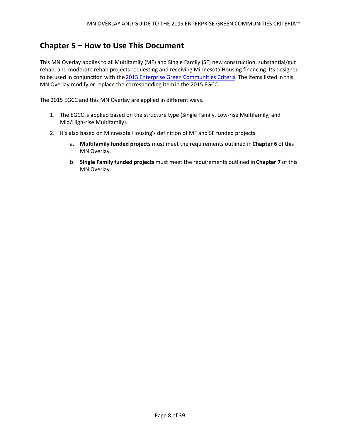# <span id="page-7-0"></span>**Chapter 5 – How to Use This Document**

This MN Overlay applies to all Multifamily (MF) and Single Family (SF) new construction, substantial/gut rehab, and moderate rehab projects requesting and receiving Minnesota Housing financing. It's designed to be used in conjunction with the [2015 Enterprise Green Communities Criteria](http://www.enterprisecommunity.com/solutions-and-innovation/enterprise-green-communities/criteria). The items listed in this MN Overlay modify or replace the corresponding item in the 2015 EGCC.

The 2015 EGCC and this MN Overlay are applied in different ways.

- 1. The EGCC is applied based on the structure type (Single Family, Low-rise Multifamily, and Mid/High-rise Multifamily).
- 2. It's also based on Minnesota Housing's definition of MF and SF funded projects.
	- a. **Multifamily funded projects** must meet the requirements outlined in **Chapter 6** of this MN Overlay.
	- b. **Single Family funded projects** must meet the requirements outlined in **Chapter 7** of this MN Overlay.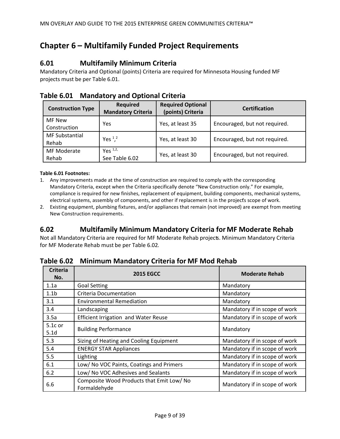# <span id="page-8-0"></span>**Chapter 6 – Multifamily Funded Project Requirements**

## <span id="page-8-1"></span>**6.01 Multifamily Minimum Criteria**

Mandatory Criteria and Optional (points) Criteria are required for Minnesota Housing funded MF projects must be per Table 6.01.

| <b>Construction Type</b>       | <b>Required</b><br><b>Mandatory Criteria</b> | <b>Required Optional</b><br>(points) Criteria | <b>Certification</b>          |
|--------------------------------|----------------------------------------------|-----------------------------------------------|-------------------------------|
| MF New<br>Construction         | Yes                                          | Yes, at least 35                              | Encouraged, but not required. |
| <b>MF Substantial</b><br>Rehab | Yes <sup>1,2</sup>                           | Yes, at least 30                              | Encouraged, but not required. |
| MF Moderate<br>Rehab           | Yes $1,2$ ,<br>See Table 6.02                | Yes, at least 30                              | Encouraged, but not required. |

### <span id="page-8-2"></span>**Table 6.01 Mandatory and Optional Criteria**

#### **Table 6.01 Footnotes:**

- 1. Any improvements made at the time of construction are required to comply with the corresponding Mandatory Criteria, except when the Criteria specifically denote "New Construction only." For example, compliance is required for new finishes, replacement of equipment, building components, mechanical systems, electrical systems, assembly of components, and other if replacement is in the projects scope of work.
- 2. Existing equipment, plumbing fixtures, and/or appliances that remain (not improved) are exempt from meeting New Construction requirements.

### <span id="page-8-3"></span>**6.02 Multifamily Minimum Mandatory Criteria for MF Moderate Rehab**

Not all Mandatory Criteria are required for MF Moderate Rehab projects. Minimum Mandatory Criteria for MF Moderate Rehab must be per Table 6.02.

| <b>Criteria</b><br>No.      | <b>2015 EGCC</b>                                          | <b>Moderate Rehab</b>         |
|-----------------------------|-----------------------------------------------------------|-------------------------------|
| 1.1a                        | <b>Goal Setting</b>                                       | Mandatory                     |
| 1.1 <sub>b</sub>            | Criteria Documentation                                    | Mandatory                     |
| 3.1                         | <b>Environmental Remediation</b>                          | Mandatory                     |
| 3.4                         | Landscaping                                               | Mandatory if in scope of work |
| 3.5a                        | <b>Efficient Irrigation and Water Reuse</b>               | Mandatory if in scope of work |
| 5.1c or<br>5.1 <sub>d</sub> | <b>Building Performance</b>                               | Mandatory                     |
| 5.3                         | Sizing of Heating and Cooling Equipment                   | Mandatory if in scope of work |
| 5.4                         | <b>ENERGY STAR Appliances</b>                             | Mandatory if in scope of work |
| 5.5                         | Lighting                                                  | Mandatory if in scope of work |
| 6.1                         | Low/ No VOC Paints, Coatings and Primers                  | Mandatory if in scope of work |
| 6.2                         | Low/ No VOC Adhesives and Sealants                        | Mandatory if in scope of work |
| 6.6                         | Composite Wood Products that Emit Low/ No<br>Formaldehyde | Mandatory if in scope of work |

<span id="page-8-4"></span>**Table 6.02 Minimum Mandatory Criteria for MF Mod Rehab**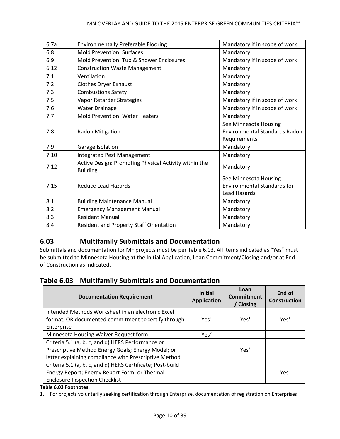#### MN OVERLAY AND GUIDE TO THE 2015 ENTERPRISE GREEN COMMUNITIES CRITERIA™

| 6.7a | <b>Environmentally Preferable Flooring</b>                               | Mandatory if in scope of work                                                 |
|------|--------------------------------------------------------------------------|-------------------------------------------------------------------------------|
| 6.8  | <b>Mold Prevention: Surfaces</b>                                         | Mandatory                                                                     |
| 6.9  | Mold Prevention: Tub & Shower Enclosures                                 | Mandatory if in scope of work                                                 |
| 6.12 | <b>Construction Waste Management</b>                                     | Mandatory                                                                     |
| 7.1  | Ventilation                                                              | Mandatory                                                                     |
| 7.2  | Clothes Dryer Exhaust                                                    | Mandatory                                                                     |
| 7.3  | <b>Combustions Safety</b>                                                | Mandatory                                                                     |
| 7.5  | Vapor Retarder Strategies                                                | Mandatory if in scope of work                                                 |
| 7.6  | <b>Water Drainage</b>                                                    | Mandatory if in scope of work                                                 |
| 7.7  | <b>Mold Prevention: Water Heaters</b>                                    | Mandatory                                                                     |
| 7.8  | Radon Mitigation                                                         | See Minnesota Housing<br><b>Environmental Standards Radon</b><br>Requirements |
| 7.9  | Garage Isolation                                                         | Mandatory                                                                     |
| 7.10 | Integrated Pest Management                                               | Mandatory                                                                     |
| 7.12 | Active Design: Promoting Physical Activity within the<br><b>Building</b> | Mandatory                                                                     |
| 7.15 | <b>Reduce Lead Hazards</b>                                               | See Minnesota Housing<br><b>Environmental Standards for</b><br>Lead Hazards   |
| 8.1  | <b>Building Maintenance Manual</b>                                       | Mandatory                                                                     |
| 8.2  | <b>Emergency Management Manual</b>                                       | Mandatory                                                                     |
| 8.3  | <b>Resident Manual</b>                                                   | Mandatory                                                                     |
| 8.4  | <b>Resident and Property Staff Orientation</b>                           | Mandatory                                                                     |

# <span id="page-9-0"></span>**6.03 Multifamily Submittals and Documentation**

Submittals and documentation for MF projects must be per Table 6.03. All items indicated as "Yes" must be submitted to Minnesota Housing at the Initial Application, Loan Commitment/Closing, and/or at End of Construction as indicated.

### <span id="page-9-1"></span>**Table 6.03 Multifamily Submittals and Documentation**

| <b>Documentation Requirement</b>                           | <b>Initial</b><br><b>Application</b> | Loan<br>Commitment<br>/ Closing | End of<br><b>Construction</b> |
|------------------------------------------------------------|--------------------------------------|---------------------------------|-------------------------------|
| Intended Methods Worksheet in an electronic Excel          |                                      |                                 |                               |
| format, OR documented commitment to certify through        | $Y \rho \varsigma^1$                 | Yes <sup>1</sup>                | Yes <sup>1</sup>              |
| Enterprise                                                 |                                      |                                 |                               |
| Minnesota Housing Waiver Request form                      | Yes <sup>2</sup>                     |                                 |                               |
| Criteria 5.1 (a, b, c, and d) HERS Performance or          |                                      |                                 |                               |
| Prescriptive Method Energy Goals; Energy Model; or         |                                      | Yes <sup>3</sup>                |                               |
| letter explaining compliance with Prescriptive Method      |                                      |                                 |                               |
| Criteria 5.1 (a, b, c, and d) HERS Certificate; Post-build |                                      |                                 |                               |
| Energy Report; Energy Report Form; or Thermal              |                                      |                                 | Yes <sup>3</sup>              |
| <b>Enclosure Inspection Checklist</b>                      |                                      |                                 |                               |

#### **Table 6.03 Footnotes:**

1. For projects voluntarily seeking certification through Enterprise, documentation of registration on Enterprises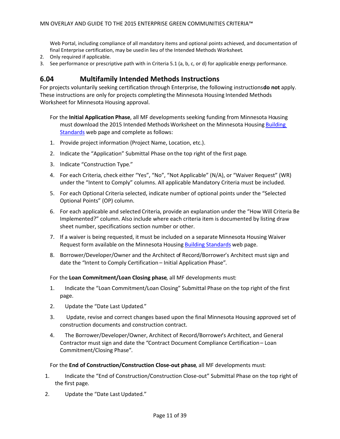Web Portal, including compliance of all mandatory items and optional points achieved, and documentation of final Enterprise certification, may be used in lieu of the Intended Methods Worksheet.

- 2. Only required if applicable.
- 3. See performance or prescriptive path with in Criteria 5.1 (a, b, c, or d) for applicable energy performance.

### <span id="page-10-0"></span>**6.04 Multifamily Intended Methods Instructions**

For projects voluntarily seeking certification through Enterprise, the following instructions **do not** apply. These instructions are only for projects completing the Minnesota Housing Intended Methods Worksheet for Minnesota Housing approval.

- For the **Initial Application Phase**, all MF developments seeking funding from Minnesota Housing must download the 2015 Intended Methods Worksheet on the Minnesota Housing Building [Standards](http://www.mnhousing.gov/wcs/Satellite?c=Page&cid=1358905261142&pagename=External%2FPage%2FEXTStandardLayout) web page and complete as follows:
- 1. Provide project information (Project Name, Location, etc.).
- 2. Indicate the "Application" Submittal Phase on the top right of the first page.
- 3. Indicate "Construction Type."
- 4. For each Criteria, check either "Yes", "No", "Not Applicable" (N/A), or "Waiver Request" (WR) under the "Intent to Comply" columns. All applicable Mandatory Criteria must be included.
- 5. For each Optional Criteria selected, indicate number of optional points under the "Selected Optional Points" (OP) column.
- 6. For each applicable and selected Criteria, provide an explanation under the "How Will Criteria Be Implemented?" column. Also include where each criteria item is documented by listing draw sheet number, specifications section number or other.
- 7. If a waiver is being requested, it must be included on a separate Minnesota Housing Waiver Request form available on the Minnesota Housing [Building Standards](http://www.mnhousing.gov/wcs/Satellite?c=Page&cid=1358905261142&pagename=External%2FPage%2FEXTStandardLayout) web page.
- 8. Borrower/Developer/Owner and the Architect of Record/Borrower's Architect must sign and date the "Intent to Comply Certification – Initial Application Phase".

For the **Loan Commitment/Loan Closing phase**, all MF developments must:

- 1. Indicate the "Loan Commitment/Loan Closing" Submittal Phase on the top right of the first page.
- 2. Update the "Date Last Updated."
- 3. Update, revise and correct changes based upon the final Minnesota Housing approved set of construction documents and construction contract.
- 4. The Borrower/Developer/Owner, Architect of Record/Borrower's Architect, and General Contractor must sign and date the "Contract Document Compliance Certification – Loan Commitment/Closing Phase".

For the **End of Construction/Construction Close-out phase**, all MF developments must:

- 1. Indicate the "End of Construction/Construction Close-out" Submittal Phase on the top right of the first page.
- 2. Update the "Date Last Updated."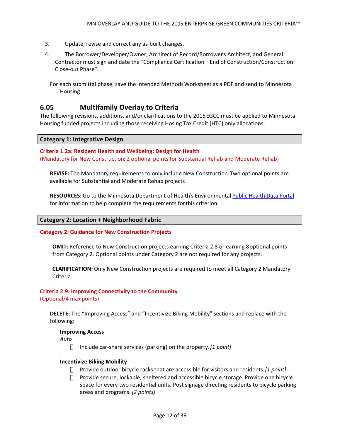- 3. Update, revise and correct any as-built changes.
- 4. The Borrower/Developer/Owner, Architect of Record/Borrower's Architect, and General Contractor must sign and date the "Compliance Certification – End of Construction/Construction Close-out Phase".

For each submittal phase, save the Intended Methods Worksheet as a PDF and send to Minnesota Housing.

### <span id="page-11-0"></span>**6.05 Multifamily Overlay to Criteria**

The following revisions, additions, and/or clarifications to the 2015 EGCC must be applied to Minnesota Housing funded projects including those receiving Hosing Tax Credit (HTC) only allocations:

#### <span id="page-11-1"></span>**Category 1: Integrative Design**

**Criteria 1.2a: Resident Health and Wellbeing: Design for Health** (Mandatory for New Construction; 2 optional points for Substantial Rehab and Moderate Rehab)

**REVISE:** The Mandatory requirements to only include New Construction. Two optional points are available for Substantial and Moderate Rehab projects.

**RESOURCES:** Go to the Minnesota Department of Health's Environmental [Public Health Data Portal](https://apps.health.state.mn.us/mndata/) for information to help complete the requirements for this criterion.

#### <span id="page-11-2"></span>**Category 2: Location + Neighborhood Fabric**

#### **Category 2: Guidance for New Construction Projects**

**OMIT:** Reference to New Construction projects earning Criteria 2.8 or earning 8 optional points from Category 2. Optional points under Category 2 are not required for any projects.

**CLARIFICATION:** Only New Construction projects are required to meet all Category 2 Mandatory Criteria.

# **Criteria 2.9: Improving Connectivity to the Community**

(Optional/4 max points)

**DELETE:** The "Improving Access" and "Incentivize Biking Mobility" sections and replace with the following:

#### **Improving Access**

*Auto*

Include car-share services (parking) on the property. *[1 point]*

#### **Incentivize Biking Mobility**

Provide outdoor bicycle racks that are accessible for visitors and residents. *[1 point]* Provide secure, lockable, sheltered and accessible bicycle storage. Provide one bicycle space for every two residential units. Post signage directing residents to bicycle parking areas and programs. *[2 points]*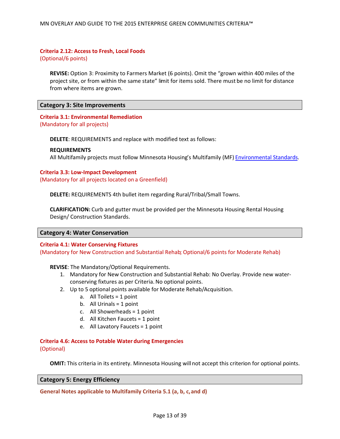#### **Criteria 2.12: Access to Fresh, Local Foods**

(Optional/6 points)

**REVISE:** Option 3: Proximity to Farmers Market (6 points). Omit the "grown within 400 miles of the project site, or from within the same state" limit for items sold. There must be no limit for distance from where items are grown.

#### <span id="page-12-0"></span>**Category 3: Site Improvements**

# **Criteria 3.1: Environmental Remediation**

(Mandatory for all projects)

**DELETE**: REQUIREMENTS and replace with modified text as follows:

#### **REQUIREMENTS**

All Multifamily projects must follow Minnesota Housing's Multifamily (MF) [Environmental Standards](http://www.mnhousing.gov/wcs/Satellite?c=Page&cid=1362997127234&pagename=External%2FPage%2FEXTStandardLayout).

#### **Criteria 3.3: Low-Impact Development**

(Mandatory for all projects located on a Greenfield)

**DELETE:** REQUIREMENTS 4th bullet item regarding Rural/Tribal/Small Towns.

**CLARIFICATION:** Curb and gutter must be provided per the Minnesota Housing Rental Housing Design/ Construction Standards.

#### <span id="page-12-1"></span>**Category 4: Water Conservation**

#### **Criteria 4.1: Water Conserving Fixtures**

(Mandatory for New Construction and Substantial Rehab; Optional/6 points for Moderate Rehab)

**REVISE**: The Mandatory/Optional Requirements.

- 1. Mandatory for New Construction and Substantial Rehab: No Overlay. Provide new waterconserving fixtures as per Criteria. No optional points.
- 2. Up to 5 optional points available for Moderate Rehab/Acquisition.
	- a. All Toilets = 1 point
	- b. All Urinals  $= 1$  point
	- c. All Showerheads = 1 point
	- d. All Kitchen Faucets = 1 point
	- e. All Lavatory Faucets = 1 point

**Criteria 4.6: Access to Potable Water during Emergencies** (Optional)

**OMIT:** This criteria in its entirety. Minnesota Housing will not accept this criterion for optional points.

#### <span id="page-12-2"></span>**Category 5: Energy Efficiency**

**General Notes applicable to Multifamily Criteria 5.1 (a, b, c, and d)**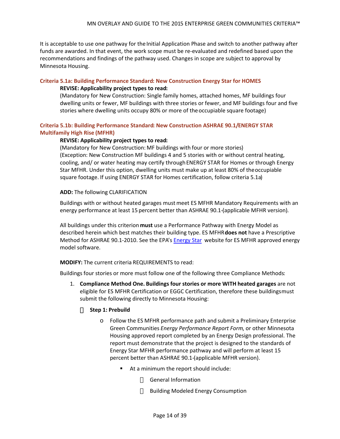It is acceptable to use one pathway for the Initial Application Phase and switch to another pathway after funds are awarded. In that event, the work scope must be re-evaluated and redefined based upon the recommendations and findings of the pathway used. Changes in scope are subject to approval by Minnesota Housing.

#### **Criteria 5.1a: Building Performance Standard: New Construction Energy Star for HOMES**

#### **REVISE: Applicability project types to read:**

(Mandatory for New Construction: Single family homes, attached homes, MF buildings four dwelling units or fewer, MF buildings with three stories or fewer, and MF buildings four and five stories where dwelling units occupy 80% or more of the occupiable square footage)

#### **Criteria 5.1b: Building Performance Standard: New Construction ASHRAE 90.1/ENERGY STAR Multifamily High Rise (MFHR)**

#### **REVISE: Applicability project types to read:**

(Mandatory for New Construction: MF buildings with four or more stories) (Exception: New Construction MF buildings 4 and 5 stories with or without central heating, cooling, and/ or water heating may certify through ENERGY STAR for Homes or through Energy Star MFHR. Under this option, dwelling units must make up at least 80% of the occupiable square footage. If using ENERGY STAR for Homes certification, follow criteria 5.1a)

#### **ADD:** The following CLARIFICATION

Buildings with or without heated garages must meet ES MFHR Mandatory Requirements with an energy performance at least 15 percent better than ASHRAE 90.1-(applicable MFHR version).

All buildings under this criterion **must** use a Performance Pathway with Energy Model as described herein which best matches their building type. ES MFHR **does not** have a Prescriptive Method for ASHRAE 90.1-2010. See the EPA's **Energy Star** website for ES MFHR approved energy model software.

#### **MODIFY:** The current criteria REQUIREMENTS to read:

Buildings four stories or more must follow one of the following three Compliance Methods:

1. **Compliance Method One. Buildings four stories or more WITH heated garages** are not eligible for ES MFHR Certification or EGGC Certification, therefore these buildings must submit the following directly to Minnesota Housing:

#### **Step 1: Prebuild**

- o Follow the ES MFHR performance path and submit a Preliminary Enterprise Green Communities *Energy Performance Report Form*, or other Minnesota Housing approved report completed by an Energy Design professional. The report must demonstrate that the project is designed to the standards of Energy Star MFHR performance pathway and will perform at least 15 percent better than ASHRAE 90.1-(applicable MFHR version).
	- At a minimum the report should include:

General Information

Building Modeled Energy Consumption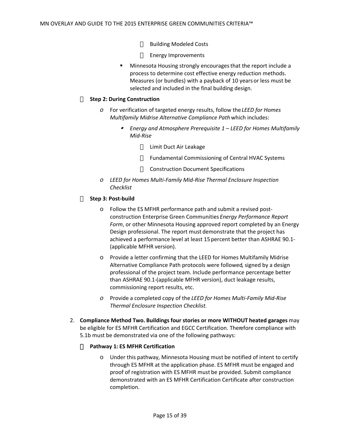Building Modeled Costs

Energy Improvements

**Minnesota Housing strongly encourages that the report include a** process to determine cost effective energy reduction methods. Measures (or bundles) with a payback of 10 years or less must be selected and included in the final building design.

#### **Step 2: During Construction**

- *o* For verification of targeted energy results, follow the *LEED for Homes Multifamily Midrise Alternative Compliance Path* which includes:
	- ø *Energy and Atmosphere Prerequisite 1 – LEED for Homes Multifamily Mid-Rise*

Limit Duct Air Leakage

Fundamental Commissioning of Central HVAC Systems

Construction Document Specifications

*o LEED for Homes Multi-Family Mid-Rise Thermal Enclosure Inspection Checklist*

#### **Step 3: Post-build**

- o Follow the ES MFHR performance path and submit a revised postconstruction Enterprise Green Communities *Energy Performance Report Form*, or other Minnesota Housing approved report completed by an Energy Design professional. The report must demonstrate that the project has achieved a performance level at least 15 percent better than ASHRAE 90.1- (applicable MFHR version).
- o Provide a letter confirming that the LEED for Homes Multifamily Midrise Alternative Compliance Path protocols were followed, signed by a design professional of the project team. Include performance percentage better than ASHRAE 90.1-(applicable MFHR version), duct leakage results, commissioning report results, etc.
- *o* Provide a completed copy of the *LEED for Homes Multi-Family Mid-Rise Thermal Enclosure Inspection Checklist.*
- 2. **Compliance Method Two. Buildings four stories or more WITHOUT heated garages** may be eligible for ES MFHR Certification and EGCC Certification. Therefore compliance with 5.1b must be demonstrated via one of the following pathways:

#### **Pathway 1: ES MFHR Certification**

o Under this pathway, Minnesota Housing must be notified of intent to certify through ES MFHR at the application phase. ES MFHR must be engaged and proof of registration with ES MFHR must be provided. Submit compliance demonstrated with an ES MFHR Certification Certificate after construction completion.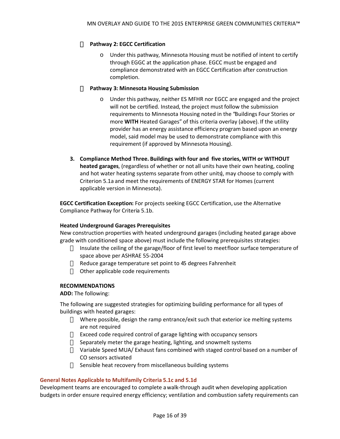#### **Pathway 2: EGCC Certification**

o Under this pathway, Minnesota Housing must be notified of intent to certify through EGGC at the application phase. EGCC must be engaged and compliance demonstrated with an EGCC Certification after construction completion.

#### **Pathway 3: Minnesota Housing Submission**

- o Under this pathway, neither ES MFHR nor EGCC are engaged and the project will not be certified. Instead, the project must follow the submission requirements to Minnesota Housing noted in the "Buildings Four Stories or more **WITH** Heated Garages" of this criteria overlay (above). If the utility provider has an energy assistance efficiency program based upon an energy model, said model may be used to demonstrate compliance with this requirement (if approved by Minnesota Housing).
- **3. Compliance Method Three. Buildings with four and five stories, WITH or WITHOUT heated garages**, (regardless of whether or not all units have their own heating, cooling and hot water heating systems separate from other units), may choose to comply with Criterion 5.1a and meet the requirements of ENERGY STAR for Homes (current applicable version in Minnesota).

**EGCC Certification Exception:** For projects seeking EGCC Certification, use the Alternative Compliance Pathway for Criteria 5.1b.

#### **Heated Underground Garages Prerequisites**

New construction properties with heated underground garages (including heated garage above grade with conditioned space above) must include the following prerequisites strategies:

Insulate the ceiling of the garage/floor of first level to meet floor surface temperature of space above per ASHRAE 55-2004

Reduce garage temperature set point to 45 degrees Fahrenheit Other applicable code requirements

#### **RECOMMENDATIONS**

**ADD:** The following:

The following are suggested strategies for optimizing building performance for all types of buildings with heated garages:

- Where possible, design the ramp entrance/exit such that exterior ice melting systems are not required
- Exceed code required control of garage lighting with occupancy sensors
- Separately meter the garage heating, lighting, and snowmelt systems
- Variable Speed MUA/ Exhaust fans combined with staged control based on a number of CO sensors activated
- Sensible heat recovery from miscellaneous building systems

#### **General Notes Applicable to Multifamily Criteria 5.1c and 5.1d**

Development teams are encouraged to complete a walk-through audit when developing application budgets in order ensure required energy efficiency; ventilation and combustion safety requirements can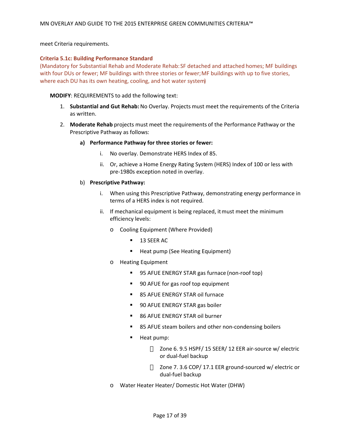meet Criteria requirements.

#### **Criteria 5.1c: Building Performance Standard**

(Mandatory for Substantial Rehab and Moderate Rehab:SF detached and attached homes; MF buildings with four DUs or fewer; MF buildings with three stories or fewer; MF buildings with up to five stories, where each DU has its own heating, cooling, and hot water system)

#### **MODIFY**: REQUIREMENTS to add the following text:

- 1. **Substantial and Gut Rehab:** No Overlay. Projects must meet the requirements of the Criteria as written.
- 2. **Moderate Rehab** projects must meet the requirements of the Performance Pathway or the Prescriptive Pathway as follows:

#### **a) Performance Pathway for three stories or fewer:**

- i. No overlay. Demonstrate HERS Index of 85.
- ii. Or, achieve a Home Energy Rating System (HERS) Index of 100 or less with pre-1980s exception noted in overlay.

#### b) **Prescriptive Pathway:**

- i. When using this Prescriptive Pathway, demonstrating energy performance in terms of a HERS index is not required.
- ii. If mechanical equipment is being replaced, it must meet the minimum efficiency levels:
	- o Cooling Equipment (Where Provided)
		- **13 SEER AC**
		- **Heat pump (See Heating Equipment)**
	- o Heating Equipment
		- 95 AFUE ENERGY STAR gas furnace (non-roof top)
		- 90 AFUE for gas roof top equipment
		- 85 AFUE ENERGY STAR oil furnace
		- 90 AFUE ENERGY STAR gas boiler
		- 86 AFUE ENERGY STAR oil burner
		- 85 AFUE steam boilers and other non-condensing boilers
		- **Heat pump:**

Zone 6. 9.5 HSPF/ 15 SEER/ 12 EER air-source w/ electric or dual-fuel backup

Zone 7. 3.6 COP/ 17.1 EER ground-sourced w/ electric or dual-fuel backup

o Water Heater Heater/ Domestic Hot Water (DHW)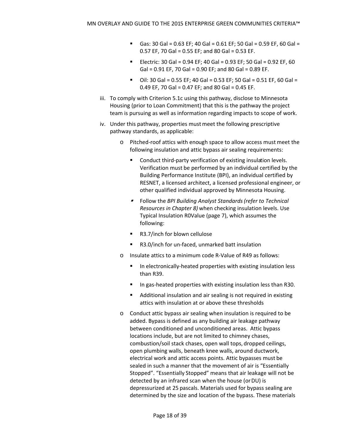- Gas: 30 Gal =  $0.63$  EF; 40 Gal =  $0.61$  EF; 50 Gal =  $0.59$  EF, 60 Gal = 0.57 EF, 70 Gal = 0.55 EF; and 80 Gal = 0.53 EF.
- Electric: 30 Gal =  $0.94$  EF; 40 Gal =  $0.93$  EF; 50 Gal =  $0.92$  EF, 60 Gal =  $0.91$  EF, 70 Gal =  $0.90$  EF; and 80 Gal =  $0.89$  EF.
- $\blacksquare$  Oil: 30 Gal = 0.55 EF; 40 Gal = 0.53 EF; 50 Gal = 0.51 EF, 60 Gal = 0.49 EF, 70 Gal = 0.47 EF; and 80 Gal = 0.45 EF.
- iii. To comply with Criterion 5.1c using this pathway, disclose to Minnesota Housing (prior to Loan Commitment) that this is the pathway the project team is pursuing as well as information regarding impacts to scope of work.
- iv. Under this pathway, properties must meet the following prescriptive pathway standards, as applicable:
	- o Pitched-roof attics with enough space to allow access must meet the following insulation and attic bypass air sealing requirements:
		- Conduct third-party verification of existing insulation levels. Verification must be performed by an individual certified by the Building Performance Institute (BPI), an individual certified by RESNET, a licensed architect, a licensed professional engineer, or other qualified individual approved by Minnesota Housing.
		- Follow the *BPI Building Analyst Standards(refer to Technical Resources in Chapter 8)* when checking insulation levels. Use Typical Insulation R0Value (page 7), which assumes the following:
		- R3.7/inch for blown cellulose
		- R3.0/inch for un-faced, unmarked batt insulation
	- o Insulate attics to a minimum code R-Value of R49 as follows:
		- In electronically-heated properties with existing insulation less than R39.
		- $\blacksquare$  In gas-heated properties with existing insulation less than R30.
		- Additional insulation and air sealing is not required in existing attics with insulation at or above these thresholds
	- o Conduct attic bypass air sealing when insulation is required to be added. Bypass is defined as any building air leakage pathway between conditioned and unconditioned areas. Attic bypass locations include, but are not limited to chimney chases, combustion/soil stack chases, open wall tops, dropped ceilings, open plumbing walls, beneath knee walls, around ductwork, electrical work and attic access points. Attic bypasses must be sealed in such a manner that the movement of air is "Essentially Stopped". "Essentially Stopped" means that air leakage will not be detected by an infrared scan when the house (or DU) is depressurized at 25 pascals. Materials used for bypass sealing are determined by the size and location of the bypass. These materials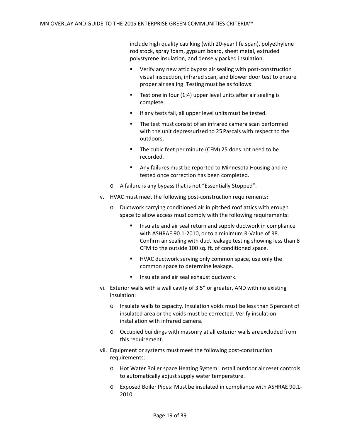include high quality caulking (with 20-year life span), polyethylene rod stock, spray foam, gypsum board, sheet metal, extruded polystyrene insulation, and densely packed insulation.

- Verify any new attic bypass air sealing with post-construction visual inspection, infrared scan, and blower door test to ensure proper air sealing. Testing must be as follows:
- Test one in four  $(1:4)$  upper level units after air sealing is complete.
- If any tests fail, all upper level units must be tested.
- The test must consist of an infrared camera scan performed with the unit depressurized to 25 Pascals with respect to the outdoors.
- The cubic feet per minute (CFM) 25 does not need to be recorded.
- Any failures must be reported to Minnesota Housing and retested once correction has been completed.
- o A failure is any bypass that is not "Essentially Stopped".
- v. HVAC must meet the following post-construction requirements:
	- o Ductwork carrying conditioned air in pitched roof attics with enough space to allow access must comply with the following requirements:
		- Insulate and air seal return and supply ductwork in compliance with ASHRAE 90.1-2010, or to a minimum R-Value of R8. Confirm air sealing with duct leakage testing showing less than 8 CFM to the outside 100 sq. ft. of conditioned space.
		- **HVAC ductwork serving only common space, use only the** common space to determine leakage.
		- Insulate and air seal exhaust ductwork.
- vi. Exterior walls with a wall cavity of 3.5" or greater, AND with no existing insulation:
	- o Insulate walls to capacity. Insulation voids must be less than 5 percent of insulated area or the voids must be corrected. Verify insulation installation with infrared camera.
	- o Occupied buildings with masonry at all exterior walls are excluded from this requirement.
- vii. Equipment or systems must meet the following post-construction requirements:
	- o Hot Water Boiler space Heating System: Install outdoor air reset controls to automatically adjust supply water temperature.
	- o Exposed Boiler Pipes: Must be insulated in compliance with ASHRAE 90.1- 2010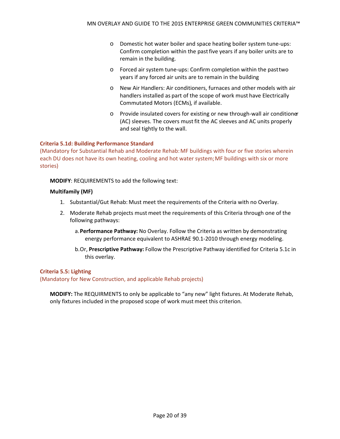- o Domestic hot water boiler and space heating boiler system tune-ups: Confirm completion within the past five years if any boiler units are to remain in the building.
- o Forced air system tune-ups: Confirm completion within the past two years if any forced air units are to remain in the building
- o New Air Handlers: Air conditioners, furnaces and other models with air handlers installed as part of the scope of work must have Electrically Commutated Motors (ECMs), if available.
- o Provide insulated covers for existing or new through-wall air conditioner (AC) sleeves. The covers must fit the AC sleeves and AC units properly and seal tightly to the wall.

#### **Criteria 5.1d: Building Performance Standard**

(Mandatory for Substantial Rehab and Moderate Rehab:MF buildings with four or five stories wherein each DU does not have its own heating, cooling and hot water system;MF buildings with six or more stories)

#### **MODIFY**: REQUIREMENTS to add the following text:

#### **Multifamily (MF)**

- 1. Substantial/Gut Rehab: Must meet the requirements of the Criteria with no Overlay.
- 2. Moderate Rehab projects must meet the requirements of this Criteria through one of the following pathways:
	- a.**Performance Pathway:** No Overlay. Follow the Criteria as written by demonstrating energy performance equivalent to ASHRAE 90.1-2010 through energy modeling.
	- b.Or, **Prescriptive Pathway:** Follow the Prescriptive Pathway identified for Criteria 5.1c in this overlay.

#### **Criteria 5.5: Lighting**

(Mandatory for New Construction, and applicable Rehab projects)

**MODIFY:** The REQUIRMENTS to only be applicable to "any new" light fixtures. At Moderate Rehab, only fixtures included in the proposed scope of work must meet this criterion.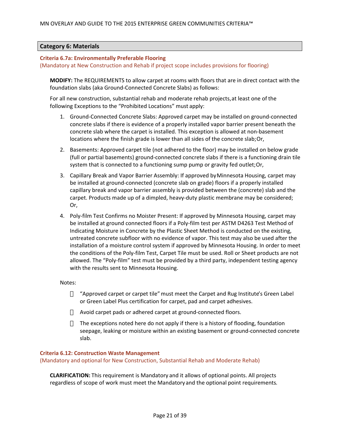#### <span id="page-20-0"></span>**Category 6: Materials**

#### **Criteria 6.7a: Environmentally Preferable Flooring**

(Mandatory at New Construction and Rehab if project scope includes provisions for flooring)

**MODIFY:** The REQUIREMENTS to allow carpet at rooms with floors that are in direct contact with the foundation slabs (aka Ground-Connected Concrete Slabs) as follows:

For all new construction, substantial rehab and moderate rehab projects, at least one of the following Exceptions to the "Prohibited Locations" must apply:

- 1. Ground-Connected Concrete Slabs: Approved carpet may be installed on ground-connected concrete slabs if there is evidence of a properly installed vapor barrier present beneath the concrete slab where the carpet is installed. This exception is allowed at non-basement locations where the finish grade is lower than all sides of the concrete slab; Or,
- 2. Basements: Approved carpet tile (not adhered to the floor) may be installed on below grade (full or partial basements) ground-connected concrete slabs if there is a functioning drain tile system that is connected to a functioning sump pump or gravity fed outlet; Or,
- 3. Capillary Break and Vapor Barrier Assembly: If approved by Minnesota Housing, carpet may be installed at ground-connected (concrete slab on grade) floors if a properly installed capillary break and vapor barrier assembly is provided between the (concrete) slab and the carpet. Products made up of a dimpled, heavy-duty plastic membrane may be considered; Or,
- 4. Poly-film Test Confirms no Moister Present: If approved by Minnesota Housing, carpet may be installed at ground connected floors if a Poly-film test per ASTM D4263 Test Method of Indicating Moisture in Concrete by the Plastic Sheet Method is conducted on the existing, untreated concrete subfloor with no evidence of vapor. This test may also be used after the installation of a moisture control system if approved by Minnesota Housing. In order to meet the conditions of the Poly-film Test, Carpet Tile must be used. Roll or Sheet products are not allowed. The "Poly-film" test must be provided by a third party, independent testing agency with the results sent to Minnesota Housing.

#### Notes:

"Approved carpet or carpet tile"must meet the Carpet and Rug Institute's Green Label or Green Label Plus certification for carpet, pad and carpet adhesives.

Avoid carpet pads or adhered carpet at ground-connected floors.

The exceptions noted here do not apply if there is a history of flooding, foundation seepage, leaking or moisture within an existing basement or ground-connected concrete slab.

#### **Criteria 6.12: Construction Waste Management**

(Mandatory and optional for New Construction, Substantial Rehab and Moderate Rehab)

**CLARIFICATION:** This requirement is Mandatory and it allows of optional points. All projects regardless of scope of work must meet the Mandatoryand the optional point requirements.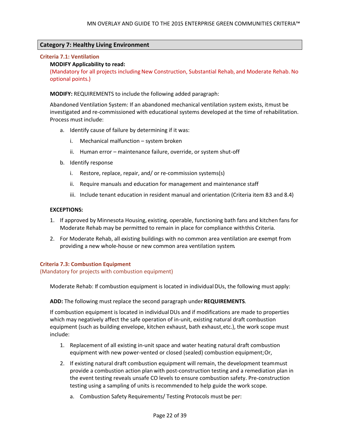#### <span id="page-21-0"></span>**Category 7: Healthy Living Environment**

#### **Criteria 7.1: Ventilation**

#### **MODIFY Applicability to read:**

(Mandatory for all projects including New Construction, Substantial Rehab, and Moderate Rehab. No optional points.)

**MODIFY:** REQUIREMENTS to include the following added paragraph:

Abandoned Ventilation System: If an abandoned mechanical ventilation system exists, it must be investigated and re-commissioned with educational systems developed at the time of rehabilitation. Process must include:

- a. Identify cause of failure by determining if it was:
	- i. Mechanical malfunction system broken
	- ii. Human error maintenance failure, override, or system shut-off
- b. Identify response
	- i. Restore, replace, repair, and/ or re-commission systems(s)
	- ii. Require manuals and education for management and maintenance staff
	- iii. Include tenant education in resident manual and orientation (Criteria item 83 and 8.4)

#### **EXCEPTIONS:**

- 1. If approved by Minnesota Housing, existing, operable, functioning bath fans and kitchen fans for Moderate Rehab may be permitted to remain in place for compliance with this Criteria.
- 2. For Moderate Rehab, all existing buildings with no common area ventilation are exempt from providing a new whole-house or new common area ventilation system.

#### **Criteria 7.3: Combustion Equipment**

(Mandatory for projects with combustion equipment)

Moderate Rehab: If combustion equipment is located in individual DUs, the following must apply:

#### **ADD:** The following must replace the second paragraph under **REQUIREMENTS**.

If combustion equipment is located in individual DUs and if modifications are made to properties which may negatively affect the safe operation of in-unit, existing natural draft combustion equipment (such as building envelope, kitchen exhaust, bath exhaust, etc.), the work scope must include:

- 1. Replacement of all existing in-unit space and water heating natural draft combustion equipment with new power-vented or closed (sealed) combustion equipment;Or,
- 2. If existing natural draft combustion equipment will remain, the development teammust provide a combustion action plan with post-construction testing and a remediation plan in the event testing reveals unsafe CO levels to ensure combustion safety. Pre-construction testing using a sampling of units is recommended to help guide the work scope.
	- a. Combustion Safety Requirements/ Testing Protocols must be per: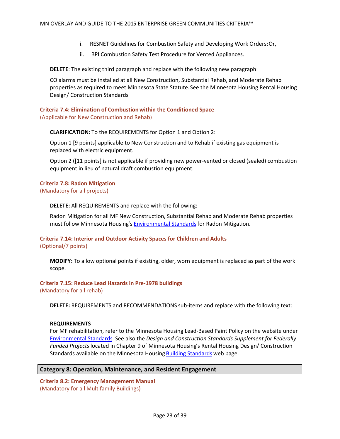- i. RESNET Guidelines for Combustion Safety and Developing Work Orders; Or,
- ii. BPI Combustion Safety Test Procedure for Vented Appliances.

**DELETE**: The existing third paragraph and replace with the following new paragraph:

CO alarms must be installed at all New Construction, Substantial Rehab, and Moderate Rehab properties as required to meet Minnesota State Statute. See the Minnesota Housing Rental Housing Design/ Construction Standards

#### **Criteria 7.4: Elimination of Combustion within the Conditioned Space** (Applicable for New Construction and Rehab)

**CLARIFICATION:** To the REQUIREMENTS for Option 1 and Option 2:

Option 1 [9 points] applicable to New Construction and to Rehab if existing gas equipment is replaced with electric equipment.

Option 2 ([11 points] is not applicable if providing new power-vented or closed (sealed) combustion equipment in lieu of natural draft combustion equipment.

#### **Criteria 7.8: Radon Mitigation**

(Mandatory for all projects)

**DELETE:** All REQUIREMENTS and replace with the following:

Radon Mitigation for all MF New Construction, Substantial Rehab and Moderate Rehab properties must follow Minnesota Housing's [Environmental Standards](http://www.mnhousing.gov/wcs/Satellite?c=Page&cid=1362997127234&pagename=External%2FPage%2FEXTStandardLayout) for Radon Mitigation.

# **Criteria 7.14: Interior and Outdoor Activity Spaces for Children and Adults**

(Optional/7 points)

**MODIFY:** To allow optional points if existing, older, worn equipment is replaced as part of the work scope.

#### **Criteria 7.15: Reduce Lead Hazards in Pre-1978 buildings**

(Mandatory for all rehab)

**DELETE:** REQUIREMENTS and RECOMMENDATIONS sub-items and replace with the following text:

#### **REQUIREMENTS**

For MF rehabilitation, refer to the Minnesota Housing Lead-Based Paint Policy on the website under [Environmental Standards](http://www.mnhousing.gov/wcs/Satellite?c=Page&cid=1362997127234&pagename=External%2FPage%2FEXTStandardLayout). See also the *Design and Construction Standards Supplement for Federally Funded Projects* located in Chapter 9 of Minnesota Housing's Rental Housing Design/ Construction Standards available on the Minnesota Housing **Building Standards** web page.

#### <span id="page-22-0"></span>**Category 8: Operation, Maintenance, and Resident Engagement**

**Criteria 8.2: Emergency Management Manual**  (Mandatory for all Multifamily Buildings)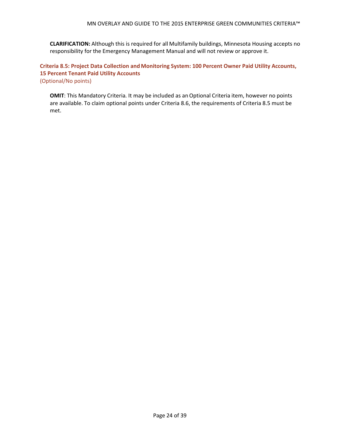**CLARIFICATION:** Although this is required for all Multifamily buildings, Minnesota Housing accepts no responsibility for the Emergency Management Manual and will not review or approve it.

**Criteria 8.5: Project Data Collection and Monitoring System: 100 Percent Owner Paid Utility Accounts, 15 Percent Tenant Paid Utility Accounts**  (Optional/No points)

**OMIT**: This Mandatory Criteria. It may be included as an Optional Criteria item, however no points are available. To claim optional points under Criteria 8.6, the requirements of Criteria 8.5 must be met.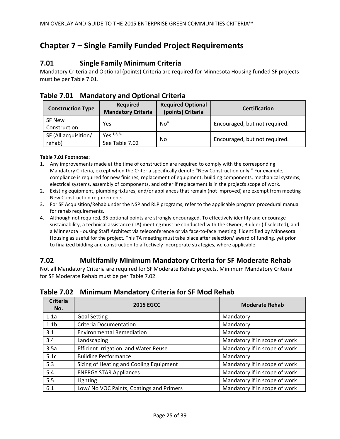# <span id="page-24-0"></span>**Chapter 7 – Single Family Funded Project Requirements**

## <span id="page-24-1"></span>**7.01 Single Family Minimum Criteria**

Mandatory Criteria and Optional (points) Criteria are required for Minnesota Housing funded SF projects must be per Table 7.01.

<span id="page-24-2"></span>

|  | <b>Table 7.01 Mandatory and Optional Criteria</b> |  |
|--|---------------------------------------------------|--|
|--|---------------------------------------------------|--|

| <b>Construction Type</b>       | <b>Required</b><br><b>Mandatory Criteria</b> | <b>Required Optional</b><br>(points) Criteria | <b>Certification</b>          |
|--------------------------------|----------------------------------------------|-----------------------------------------------|-------------------------------|
| SF New<br>Construction         | Yes                                          | No <sup>4</sup>                               | Encouraged, but not required. |
| SF (All acquisition/<br>rehab) | Yes <sup>1,2,3</sup><br>See Table 7.02       | No                                            | Encouraged, but not required. |

#### **Table 7.01 Footnotes:**

- 1. Any improvements made at the time of construction are required to comply with the corresponding Mandatory Criteria, except when the Criteria specifically denote "New Construction only." For example, compliance is required for new finishes, replacement of equipment, building components, mechanical systems, electrical systems, assembly of components, and other if replacement is in the projects scope of work.
- 2. Existing equipment, plumbing fixtures, and/or appliances that remain (not improved) are exempt from meeting New Construction requirements.
- 3. For SF Acquisition/Rehab under the NSP and RLP programs, refer to the applicable program procedural manual for rehab requirements.
- 4. Although not required, 35 optional points are strongly encouraged. To effectively identify and encourage sustainability, a technical assistance (TA) meeting must be conducted with the Owner, Builder (if selected), and a Minnesota Housing Staff Architect via teleconference or via face-to-face meeting if identified by Minnesota Housing as useful for the project. This TA meeting must take place after selection/ award of funding, yet prior to finalized bidding and construction to affectively incorporate strategies, where applicable.

# <span id="page-24-3"></span>**7.02 Multifamily Minimum Mandatory Criteria for SF Moderate Rehab**

Not all Mandatory Criteria are required for SF Moderate Rehab projects. Minimum Mandatory Criteria for SF Moderate Rehab must be per Table 7.02.

| <b>Criteria</b><br>No. | <b>2015 EGCC</b>                         | <b>Moderate Rehab</b>         |
|------------------------|------------------------------------------|-------------------------------|
| 1.1a                   | <b>Goal Setting</b>                      | Mandatory                     |
| 1.1 <sub>b</sub>       | <b>Criteria Documentation</b>            | Mandatory                     |
| 3.1                    | <b>Environmental Remediation</b>         | Mandatory                     |
| 3.4                    | Landscaping                              | Mandatory if in scope of work |
| 3.5a                   | Efficient Irrigation and Water Reuse     | Mandatory if in scope of work |
| 5.1c                   | <b>Building Performance</b>              | Mandatory                     |
| 5.3                    | Sizing of Heating and Cooling Equipment  | Mandatory if in scope of work |
| 5.4                    | <b>ENERGY STAR Appliances</b>            | Mandatory if in scope of work |
| 5.5                    | Lighting                                 | Mandatory if in scope of work |
| 6.1                    | Low/ No VOC Paints, Coatings and Primers | Mandatory if in scope of work |

<span id="page-24-4"></span>**Table 7.02 Minimum Mandatory Criteria for SF Mod Rehab**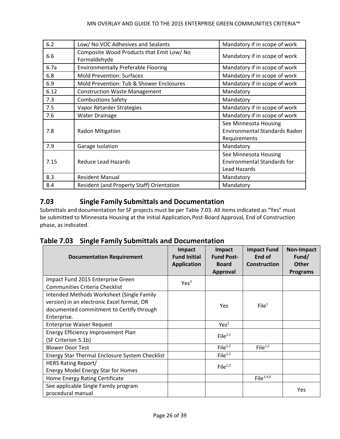#### MN OVERLAY AND GUIDE TO THE 2015 ENTERPRISE GREEN COMMUNITIES CRITERIA™

| 6.2  | Low/ No VOC Adhesives and Sealants                        | Mandatory if in scope of work                                                 |
|------|-----------------------------------------------------------|-------------------------------------------------------------------------------|
| 6.6  | Composite Wood Products that Emit Low/ No<br>Formaldehyde | Mandatory if in scope of work                                                 |
| 6.7a | <b>Environmentally Preferable Flooring</b>                | Mandatory if in scope of work                                                 |
| 6.8  | <b>Mold Prevention: Surfaces</b>                          | Mandatory if in scope of work                                                 |
| 6.9  | Mold Prevention: Tub & Shower Enclosures                  | Mandatory if in scope of work                                                 |
| 6.12 | <b>Construction Waste Management</b>                      | Mandatory                                                                     |
| 7.3  | <b>Combustions Safety</b>                                 | Mandatory                                                                     |
| 7.5  | Vapor Retarder Strategies                                 | Mandatory if in scope of work                                                 |
| 7.6  | <b>Water Drainage</b>                                     | Mandatory if in scope of work                                                 |
| 7.8  | <b>Radon Mitigation</b>                                   | See Minnesota Housing<br><b>Environmental Standards Radon</b><br>Requirements |
| 7.9  | Garage Isolation                                          | Mandatory                                                                     |
| 7.15 | Reduce Lead Hazards                                       | See Minnesota Housing<br><b>Environmental Standards for</b><br>Lead Hazards   |
| 8.3  | <b>Resident Manual</b>                                    | Mandatory                                                                     |
| 8.4  | <b>Resident (and Property Staff) Orientation</b>          | Mandatory                                                                     |

# <span id="page-25-0"></span>**7.03 Single Family Submittals and Documentation**

Submittals and documentation for SF projects must be per Table 7.03. All items indicated as "Yes" must be submitted to Minnesota Housing at the Initial Application, Post-Board Approval, End of Construction phase, as indicated.

<span id="page-25-1"></span>

|  | Table 7.03 Single Family Submittals and Documentation |
|--|-------------------------------------------------------|
|--|-------------------------------------------------------|

| <b>Documentation Requirement</b>                                                                                                                                                            | Impact<br><b>Fund Initial</b><br><b>Application</b> | Impact<br><b>Fund Post-</b><br><b>Board</b><br>Approval | <b>Impact Fund</b><br>End of<br><b>Construction</b> | <b>Non-Impact</b><br>Fund/<br><b>Other</b><br><b>Programs</b> |
|---------------------------------------------------------------------------------------------------------------------------------------------------------------------------------------------|-----------------------------------------------------|---------------------------------------------------------|-----------------------------------------------------|---------------------------------------------------------------|
| Impact Fund 2015 Enterprise Green                                                                                                                                                           | Yes <sup>3</sup>                                    |                                                         |                                                     |                                                               |
| <b>Communities Criteria Checklist</b><br>Intended Methods Worksheet (Single Family<br>version) in an electronic Excel format, OR<br>documented commitment to Certify through<br>Enterprise. |                                                     | Yes                                                     | File <sup>1</sup>                                   |                                                               |
| <b>Enterprise Waiver Request</b>                                                                                                                                                            |                                                     | Yes <sup>2</sup>                                        |                                                     |                                                               |
| Energy Efficiency Improvement Plan<br>(SF Criterion 5.1b)                                                                                                                                   |                                                     | File <sup>1,2</sup>                                     |                                                     |                                                               |
| <b>Blower Door Test</b>                                                                                                                                                                     |                                                     | File <sup>1,2</sup>                                     | File $1,2$                                          |                                                               |
| Energy Star Thermal Enclosure System Checklist                                                                                                                                              |                                                     | File <sup>1,2</sup>                                     |                                                     |                                                               |
| <b>HERS Rating Report/</b><br><b>Energy Model Energy Star for Homes</b>                                                                                                                     |                                                     | File <sup>1,2</sup>                                     |                                                     |                                                               |
| Home Energy Rating Certificate                                                                                                                                                              |                                                     |                                                         | File <sup>1,4,6</sup>                               |                                                               |
| See applicable Single Family program<br>procedural manual                                                                                                                                   |                                                     |                                                         |                                                     | Yes                                                           |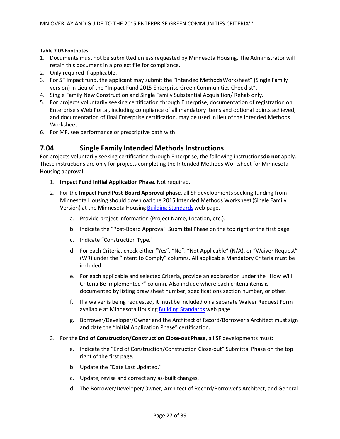#### **Table 7.03 Footnotes:**

- 1. Documents must not be submitted unless requested by Minnesota Housing. The Administrator will retain this document in a project file for compliance.
- 2. Only required if applicable.
- 3. For SF Impact fund, the applicant may submit the "Intended Methods Worksheet" (Single Family version) in Lieu of the "Impact Fund 2015 Enterprise Green Communities Checklist".
- 4. Single Family New Construction and Single Family Substantial Acquisition/ Rehab only.
- 5. For projects voluntarily seeking certification through Enterprise, documentation of registration on Enterprise's Web Portal, including compliance of all mandatory items and optional points achieved, and documentation of final Enterprise certification, may be used in lieu of the Intended Methods Worksheet.
- 6. For MF, see performance or prescriptive path with

### <span id="page-26-0"></span>**7.04 Single Family Intended Methods Instructions**

For projects voluntarily seeking certification through Enterprise, the following instructions **do not** apply. These instructions are only for projects completing the Intended Methods Worksheet for Minnesota Housing approval.

- 1. **Impact Fund Initial Application Phase**. Not required.
- 2. For the **Impact Fund Post-Board Approval phase**, all SF developments seeking funding from Minnesota Housing should download the 2015 Intended Methods Worksheet (Single Family Version) at the Minnesota Housing [Building Standards](http://www.mnhousing.gov/wcs/Satellite?c=Page&cid=1358905261142&pagename=External%2FPage%2FEXTStandardLayout) web page.
	- a. Provide project information (Project Name, Location, etc.).
	- b. Indicate the "Post-Board Approval" Submittal Phase on the top right of the first page.
	- c. Indicate "Construction Type."
	- d. For each Criteria, check either "Yes", "No", "Not Applicable" (N/A), or "Waiver Request" (WR) under the "Intent to Comply" columns. All applicable Mandatory Criteria must be included.
	- e. For each applicable and selected Criteria, provide an explanation under the "How Will Criteria Be Implemented?" column. Also include where each criteria items is documented by listing draw sheet number, specifications section number, or other.
	- f. If a waiver is being requested, it must be included on a separate Waiver Request Form available at Minnesota Housing [Building Standards](http://www.mnhousing.gov/wcs/Satellite?c=Page&cid=1358905261142&pagename=External%2FPage%2FEXTStandardLayout) web page.
	- g. Borrower/Developer/Owner and the Architect of Record/Borrower's Architect must sign and date the "Initial Application Phase" certification.
- 3. For the **End of Construction/Construction Close-out Phase**, all SF developments must:
	- a. Indicate the "End of Construction/Construction Close-out" Submittal Phase on the top right of the first page.
	- b. Update the "Date Last Updated."
	- c. Update, revise and correct any as-built changes.
	- d. The Borrower/Developer/Owner, Architect of Record/Borrower's Architect, and General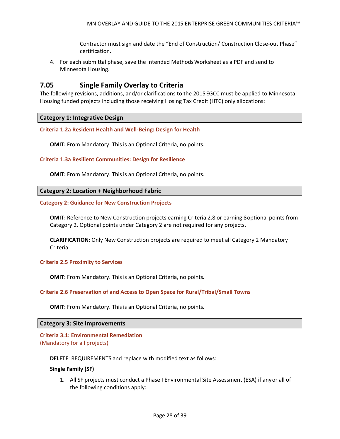Contractor must sign and date the "End of Construction/ Construction Close-out Phase" certification.

4. For each submittal phase, save the Intended Methods Worksheet as a PDF and send to Minnesota Housing.

### <span id="page-27-0"></span>**7.05 Single Family Overlay to Criteria**

The following revisions, additions, and/or clarifications to the 2015 EGCC must be applied to Minnesota Housing funded projects including those receiving Hosing Tax Credit (HTC) only allocations:

<span id="page-27-1"></span>**Category 1: Integrative Design**

**Criteria 1.2a Resident Health and Well-Being: Design for Health**

**OMIT:** From Mandatory. This is an Optional Criteria, no points.

**Criteria 1.3a Resilient Communities: Design for Resilience**

**OMIT:** From Mandatory. This is an Optional Criteria, no points.

#### <span id="page-27-2"></span>**Category 2: Location + Neighborhood Fabric**

#### **Category 2: Guidance for New Construction Projects**

**OMIT:** Reference to New Construction projects earning Criteria 2.8 or earning 8 optional points from Category 2. Optional points under Category 2 are not required for any projects.

**CLARIFICATION:** Only New Construction projects are required to meet all Category 2 Mandatory Criteria.

#### **Criteria 2.5 Proximity to Services**

**OMIT:** From Mandatory. This is an Optional Criteria, no points.

#### **Criteria 2.6 Preservation of and Access to Open Space for Rural/Tribal/Small Towns**

**OMIT:** From Mandatory. This is an Optional Criteria, no points.

#### <span id="page-27-3"></span>**Category 3: Site Improvements**

**Criteria 3.1: Environmental Remediation** (Mandatory for all projects)

#### **DELETE**: REQUIREMENTS and replace with modified text as follows:

#### **Single Family (SF)**

1. All SF projects must conduct a Phase I Environmental Site Assessment (ESA) if any or all of the following conditions apply: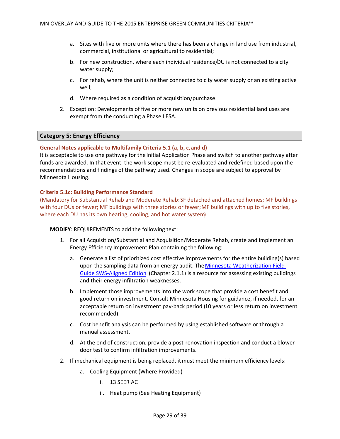- a. Sites with five or more units where there has been a change in land use from industrial, commercial, institutional or agricultural to residential;
- b. For new construction, where each individual residence/DU is not connected to a city water supply;
- c. For rehab, where the unit is neither connected to city water supply or an existing active well;
- d. Where required as a condition of acquisition/purchase.
- 2. Exception: Developments of five or more new units on previous residential land uses are exempt from the conducting a Phase I ESA.

#### <span id="page-28-0"></span>**Category 5: Energy Efficiency**

#### **General Notes applicable to Multifamily Criteria 5.1 (a, b, c, and d)**

It is acceptable to use one pathway for the Initial Application Phase and switch to another pathway after funds are awarded. In that event, the work scope must be re-evaluated and redefined based upon the recommendations and findings of the pathway used. Changes in scope are subject to approval by Minnesota Housing.

#### **Criteria 5.1c: Building Performance Standard**

(Mandatory for Substantial Rehab and Moderate Rehab:SF detached and attached homes; MF buildings with four DUs or fewer; MF buildings with three stories or fewer; MF buildings with up to five stories, where each DU has its own heating, cooling, and hot water system)

#### **MODIFY**: REQUIREMENTS to add the following text:

- 1. For all Acquisition/Substantial and Acquisition/Moderate Rehab, create and implement an Energy Efficiency Improvement Plan containing the following:
	- a. Generate a list of prioritized cost effective improvements for the entire building(s) based upon the sampling data from an energy audit. The [Minnesota Weatherization Field](http://wxfieldguide.com/mn/)  [Guide SWS-Aligned Edition](http://wxfieldguide.com/mn/) (Chapter 2.1.1) is a resource for assessing existing buildings and their energy infiltration weaknesses.
	- b. Implement those improvements into the work scope that provide a cost benefit and good return on investment. Consult Minnesota Housing for guidance, if needed, for an acceptable return on investment pay-back period (10 years or less return on investment recommended).
	- c. Cost benefit analysis can be performed by using established software or through a manual assessment.
	- d. At the end of construction, provide a post-renovation inspection and conduct a blower door test to confirm infiltration improvements.
- 2. If mechanical equipment is being replaced, it must meet the minimum efficiency levels:
	- a. Cooling Equipment (Where Provided)
		- i. 13 SEER AC
		- ii. Heat pump (See Heating Equipment)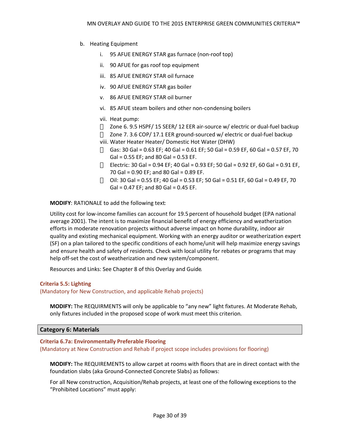- b. Heating Equipment
	- i. 95 AFUE ENERGY STAR gas furnace (non-roof top)
	- ii. 90 AFUE for gas roof top equipment
	- iii. 85 AFUE ENERGY STAR oil furnace
	- iv. 90 AFUE ENERGY STAR gas boiler
	- v. 86 AFUE ENERGY STAR oil burner
	- vi. 85 AFUE steam boilers and other non-condensing boilers
	- vii. Heat pump:
		- Zone 6. 9.5 HSPF/ 15 SEER/ 12 EER air-source w/ electric or dual-fuel backup Zone 7. 3.6 COP/ 17.1 EER ground-sourced w/ electric or dual-fuel backup
	- viii. Water Heater Heater/ Domestic Hot Water (DHW) Gas: 30 Gal = 0.63 EF; 40 Gal = 0.61 EF; 50 Gal = 0.59 EF, 60 Gal = 0.57 EF, 70  $Gal = 0.55 EF$ ; and 80 Gal = 0.53 EF. Electric: 30 Gal = 0.94 EF; 40 Gal = 0.93 EF; 50 Gal = 0.92 EF, 60 Gal = 0.91 EF, 70 Gal = 0.90 EF; and 80 Gal = 0.89 EF. Oil: 30 Gal = 0.55 EF; 40 Gal = 0.53 EF; 50 Gal = 0.51 EF, 60 Gal = 0.49 EF, 70  $Gal = 0.47$  EF; and 80 Gal = 0.45 EF.

**MODIFY**: RATIONALE to add the following text:

Utility cost for low-income families can account for 19.5 percent of household budget (EPA national average 2001). The intent is to maximize financial benefit of energy efficiency and weatherization efforts in moderate renovation projects without adverse impact on home durability, indoor air quality and existing mechanical equipment. Working with an energy auditor or weatherization expert (SF) on a plan tailored to the specific conditions of each home/unit will help maximize energy savings and ensure health and safety of residents. Check with local utility for rebates or programs that may help off-set the cost of weatherization and new system/component.

Resources and Links: See Chapter 8 of this Overlay and Guide.

#### **Criteria 5.5: Lighting**

(Mandatory for New Construction, and applicable Rehab projects)

**MODIFY:** The REQUIRMENTS will only be applicable to "any new" light fixtures. At Moderate Rehab, only fixtures included in the proposed scope of work must meet this criterion.

<span id="page-29-0"></span>**Category 6: Materials**

#### **Criteria 6.7a: Environmentally Preferable Flooring**

(Mandatory at New Construction and Rehab if project scope includes provisions for flooring)

**MODIFY:** The REQUIREMENTS to allow carpet at rooms with floors that are in direct contact with the foundation slabs (aka Ground-Connected Concrete Slabs) as follows:

For all New construction, Acquisition/Rehab projects, at least one of the following exceptions to the "Prohibited Locations" must apply: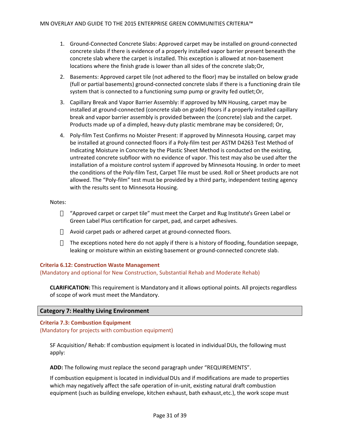- 1. Ground-Connected Concrete Slabs: Approved carpet may be installed on ground-connected concrete slabs if there is evidence of a properly installed vapor barrier present beneath the concrete slab where the carpet is installed. This exception is allowed at non-basement locations where the finish grade is lower than all sides of the concrete slab; Or,
- 2. Basements: Approved carpet tile (not adhered to the floor) may be installed on below grade (full or partial basements) ground-connected concrete slabs if there is a functioning drain tile system that is connected to a functioning sump pump or gravity fed outlet; Or,
- 3. Capillary Break and Vapor Barrier Assembly: If approved by MN Housing, carpet may be installed at ground-connected (concrete slab on grade) floors if a properly installed capillary break and vapor barrier assembly is provided between the (concrete) slab and the carpet. Products made up of a dimpled, heavy-duty plastic membrane may be considered; Or,
- 4. Poly-film Test Confirms no Moister Present: If approved by Minnesota Housing, carpet may be installed at ground connected floors if a Poly-film test per ASTM D4263 Test Method of Indicating Moisture in Concrete by the Plastic Sheet Method is conducted on the existing, untreated concrete subfloor with no evidence of vapor. This test may also be used after the installation of a moisture control system if approved by Minnesota Housing. In order to meet the conditions of the Poly-film Test, Carpet Tile must be used. Roll or Sheet products are not allowed. The "Poly-film" test must be provided by a third party, independent testing agency with the results sent to Minnesota Housing.

#### Notes:

"Approved carpet or carpet tile" must meet the Carpet and Rug Institute's Green Label or Green Label Plus certification for carpet, pad, and carpet adhesives.

Avoid carpet pads or adhered carpet at ground-connected floors.

The exceptions noted here do not apply if there is a history of flooding, foundation seepage, leaking or moisture within an existing basement or ground-connected concrete slab.

#### **Criteria 6.12: Construction Waste Management**

(Mandatory and optional for New Construction, Substantial Rehab and Moderate Rehab)

**CLARIFICATION:** This requirement is Mandatory and it allows optional points. All projects regardless of scope of work must meet the Mandatory.

#### <span id="page-30-0"></span>**Category 7: Healthy Living Environment**

**Criteria 7.3: Combustion Equipment** (Mandatory for projects with combustion equipment)

SF Acquisition/ Rehab: If combustion equipment is located in individual DUs, the following must apply:

**ADD:** The following must replace the second paragraph under "REQUIREMENTS".

If combustion equipment is located in individual DUs and if modifications are made to properties which may negatively affect the safe operation of in-unit, existing natural draft combustion equipment (such as building envelope, kitchen exhaust, bath exhaust, etc.), the work scope must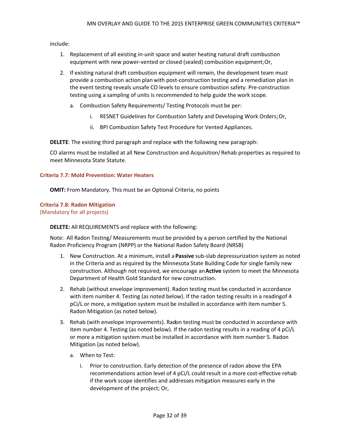include:

- 1. Replacement of all existing in-unit space and water heating natural draft combustion equipment with new power-vented or closed (sealed) combustion equipment; Or,
- 2. If existing natural draft combustion equipment will remain, the development team must provide a combustion action plan with post-construction testing and a remediation plan in the event testing reveals unsafe CO levels to ensure combustion safety. Pre-construction testing using a sampling of units is recommended to help guide the work scope.
	- a. Combustion Safety Requirements/ Testing Protocols must be per:
		- i. RESNET Guidelines for Combustion Safety and Developing Work Orders; Or,
		- ii. BPI Combustion Safety Test Procedure for Vented Appliances.

**DELETE**: The existing third paragraph and replace with the following new paragraph:

CO alarms must be installed at all New Construction and Acquisition/ Rehab properties as required to meet Minnesota State Statute.

#### **Criteria 7.7: Mold Prevention: Water Heaters**

**OMIT:** From Mandatory. This must be an Optional Criteria, no points

# **Criteria 7.8: Radon Mitigation**

(Mandatory for all projects)

**DELETE:** All REQUIREMENTS and replace with the following:

Note: All Radon Testing/ Measurements must be provided by a person certified by the National Radon Proficiency Program (NRPP) or the National Radon Safety Board (NRSB)

- 1. New Construction. At a minimum, install a **Passive** sub-slab depressurization system as noted in the Criteria and as required by the Minnesota State Building Code for single family new construction. Although not required, we encourage an **Active** system to meet the Minnesota Department of Health Gold Standard for new construction.
- 2. Rehab (without envelope improvement). Radon testing must be conducted in accordance with item number 4. Testing (as noted below). If the radon testing results in a reading of 4 pCi/L or more, a mitigation system must be installed in accordance with item number 5. Radon Mitigation (as noted below).
- 3. Rehab (with envelope improvements). Radon testing must be conducted in accordance with item number 4. Testing (as noted below). If the radon testing results in a reading of 4 pCi/L or more a mitigation system must be installed in accordance with item number 5. Radon Mitigation (as noted below).
	- a. When to Test:
		- i. Prior to construction. Early detection of the presence of radon above the EPA recommendations action level of 4 pCi/L could result in a more cost-effective rehab if the work scope identifies and addresses mitigation measures early in the development of the project; Or,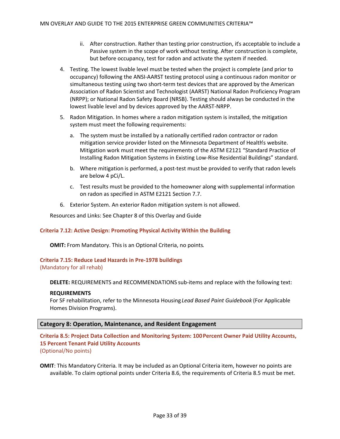- ii. After construction. Rather than testing prior construction, it's acceptable to include a Passive system in the scope of work without testing. After construction is complete, but before occupancy, test for radon and activate the system if needed.
- 4. Testing. The lowest livable level must be tested when the project is complete (and prior to occupancy) following the ANSI-AARST testing protocol using a continuous radon monitor or simultaneous testing using two short-term test devices that are approved by the American Association of Radon Scientist and Technologist (AARST) National Radon Proficiency Program (NRPP); or National Radon Safety Board (NRSB). Testing should always be conducted in the lowest livable level and by devices approved by the AARST-NRPP.
- 5. Radon Mitigation. In homes where a radon mitigation system is installed, the mitigation system must meet the following requirements:
	- a. The system must be installed by a nationally certified radon contractor or radon mitigation service provider listed on the Minnesota Department of Health's website. Mitigation work must meet the requirements of the ASTM E2121 "Standard Practice of Installing Radon Mitigation Systems in Existing Low-Rise Residential Buildings" standard.
	- b. Where mitigation is performed, a post-test must be provided to verify that radon levels are below 4 pCi/L.
	- c. Test results must be provided to the homeowner along with supplemental information on radon as specified in ASTM E2121 Section 7.7.
- 6. Exterior System. An exterior Radon mitigation system is not allowed.

Resources and Links: See Chapter 8 of this Overlay and Guide

#### **Criteria 7.12: Active Design: Promoting Physical Activity Within the Building**

**OMIT:** From Mandatory. This is an Optional Criteria, no points.

#### **Criteria 7.15: Reduce Lead Hazards in Pre-1978 buildings**

(Mandatory for all rehab)

**DELETE:** REQUIREMENTS and RECOMMENDATIONS sub-items and replace with the following text:

#### **REQUIREMENTS**

For SF rehabilitation, refer to the Minnesota Housing *Lead Based Paint Guidebook* (For Applicable Homes Division Programs).

#### <span id="page-32-0"></span>**Category 8: Operation, Maintenance, and Resident Engagement**

**Criteria 8.5: Project Data Collection and Monitoring System: 100 Percent Owner Paid Utility Accounts, 15 Percent Tenant Paid Utility Accounts**  (Optional/No points)

**OMIT**: This Mandatory Criteria. It may be included as an Optional Criteria item, however no points are available. To claim optional points under Criteria 8.6, the requirements of Criteria 8.5 must be met.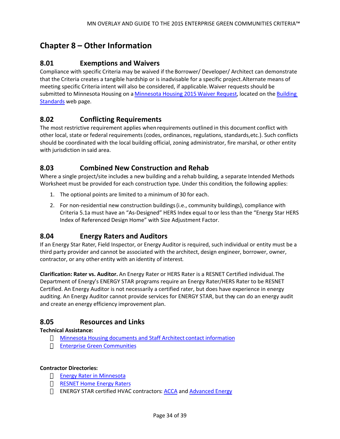# <span id="page-33-0"></span>**Chapter 8 – Other Information**

# <span id="page-33-1"></span>**8.01 Exemptions and Waivers**

Compliance with specific Criteria may be waived if the Borrower/ Developer/ Architect can demonstrate that the Criteria creates a tangible hardship or is inadvisable for a specific project.Alternate means of meeting specific Criteria intent will also be considered, if applicable.Waiver requests should be submitted to Minnesota Housing on a [Minnesota Housing 2015 Waiver Request](http://www.mnhousing.gov/download/MHFA_1038717), located on the Building [Standards](http://www.mnhousing.gov/wcs/Satellite?c=Page&cid=1358905261142&pagename=External%2FPage%2FEXTStandardLayout) web page.

# <span id="page-33-2"></span>**8.02 Conflicting Requirements**

The most restrictive requirement applies when requirements outlined in this document conflict with other local, state or federal requirements (codes, ordinances, regulations, standards, etc.). Such conflicts should be coordinated with the local building official, zoning administrator, fire marshal, or other entity with jurisdiction in said area.

### <span id="page-33-3"></span>**8.03 Combined New Construction and Rehab**

Where a single project/site includes a new building and a rehab building, a separate Intended Methods Worksheet must be provided for each construction type. Under this condition, the following applies:

- 1. The optional points are limited to a minimum of 30 for each.
- 2. For non-residential new construction buildings (i.e., community buildings), compliance with Criteria 5.1a must have an "As-Designed" HERS Index equal to or less than the "Energy Star HERS Index of Referenced Design Home" with Size Adjustment Factor.

### <span id="page-33-4"></span>**8.04 Energy Raters and Auditors**

If an Energy Star Rater, Field Inspector, or Energy Auditor is required, such individual or entity must be a third party provider and cannot be associated with the architect, design engineer, borrower, owner, contractor, or any other entity with an identity of interest.

**Clarification: Rater vs. Auditor.** An Energy Rater or HERS Rater is a RESNET Certified individual.The Department of Energy's ENERGY STAR programs require an Energy Rater/HERS Rater to be RESNET Certified. An Energy Auditor is not necessarily a certified rater, but does have experience in energy auditing. An Energy Auditor cannot provide services for ENERGY STAR, but they can do an energy audit and create an energy efficiency improvement plan.

### <span id="page-33-5"></span>**8.05 Resources and Links**

#### **Technical Assistance:**

[Minnesota Housing documents and Staff Architect contact information](http://www.mnhousing.gov/wcs/Satellite?c=Page&cid=1358905261142&pagename=External%2FPage%2FEXTStandardLayout) [Enterprise Green Communities](http://www.EnterpriseCommunity.org/green)

#### **Contractor Directories:**

[Energy Rater in Minnesota](http://www.energystar.gov/index.cfm?fuseaction=estar_partner_list.showPartnerSearch) [RESNET Home Energy Raters](http://www.resnet.us/directory/search/searchtype/auditor/zip/mn/trade_id/89/slug/home-energy-raters-hers-raters/page/1) ENERGY STAR certified HVAC contractors: [ACCA](http://www.acca.org/qa/directory/new-homes) and [Advanced Energy](http://www.advancedenergy.org/hvac/members.php)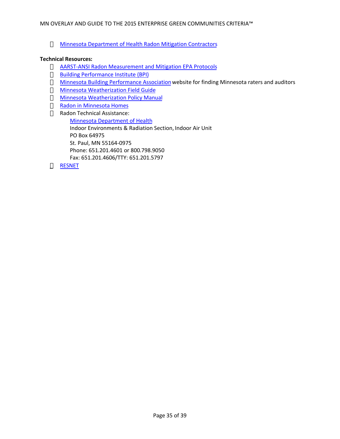#### [Minnesota Department of Health Radon Mitigation Contractors](http://www.health.state.mn.us/divs/eh/indoorair/radon/mitigation.html)

#### **Technical Resources:**

[AARST-ANSI Radon Measurement and Mitigation EPA Protocols](http://www.aarst.org/bookstore.shtml) [Building Performance Institute \(BPI\)](http://www.bpi.org/) [Minnesota Building Performance Association](http://mbpa.us/) website for finding Minnesota raters and auditors [Minnesota Weatherization Field Guide](http://wxfieldguide.com/mn/whnjs.htm) [Minnesota Weatherization Policy Manual](http://mn.gov/commerce-stat/pdfs/wap-policy-manual.pdf) [Radon in Minnesota Homes](http://www.health.state.mn.us/divs/eh/indoorair/radon/index.html) Radon Technical Assistance: [Minnesota Department of Health](http://www.radon.com/sub/mn/) Indoor Environments & Radiation Section, Indoor Air Unit PO Box 64975 St. Paul, MN 55164-0975 Phone: 651.201.4601 or 800.798.9050 Fax: 651.201.4606/TTY: 651.201.5797 [RESNET](http://www.resnet.us/)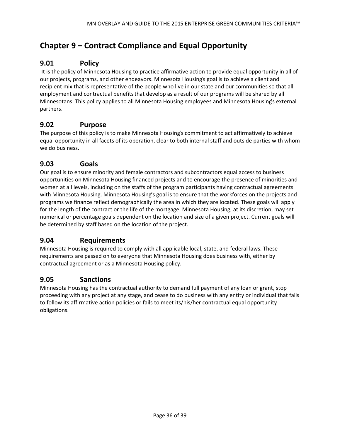# <span id="page-35-0"></span>**Chapter 9 – Contract Compliance and Equal Opportunity**

# <span id="page-35-1"></span>**9.01 Policy**

 It is the policy of Minnesota Housing to practice affirmative action to provide equal opportunity in all of our projects, programs, and other endeavors. Minnesota Housing's goal is to achieve a client and recipient mix that is representative of the people who live in our state and our communities so that all employment and contractual benefits that develop as a result of our programs will be shared by all Minnesotans. This policy applies to all Minnesota Housing employees and Minnesota Housing's external partners.

# <span id="page-35-2"></span>**9.02 Purpose**

The purpose of this policy is to make Minnesota Housing's commitment to act affirmatively to achieve equal opportunity in all facets of its operation, clear to both internal staff and outside parties with whom we do business.

# <span id="page-35-3"></span>**9.03 Goals**

Our goal is to ensure minority and female contractors and subcontractors equal access to business opportunities on Minnesota Housing financed projects and to encourage the presence of minorities and women at all levels, including on the staffs of the program participants having contractual agreements with Minnesota Housing. Minnesota Housing's goal is to ensure that the workforces on the projects and programs we finance reflect demographically the area in which they are located. These goals will apply for the length of the contract or the life of the mortgage. Minnesota Housing, at its discretion, may set numerical or percentage goals dependent on the location and size of a given project. Current goals will be determined by staff based on the location of the project.

### <span id="page-35-4"></span>**9.04 Requirements**

Minnesota Housing is required to comply with all applicable local, state, and federal laws. These requirements are passed on to everyone that Minnesota Housing does business with, either by contractual agreement or as a Minnesota Housing policy.

### <span id="page-35-5"></span>**9.05 Sanctions**

Minnesota Housing has the contractual authority to demand full payment of any loan or grant, stop proceeding with any project at any stage, and cease to do business with any entity or individual that fails to follow its affirmative action policies or fails to meet its/his/her contractual equal opportunity obligations.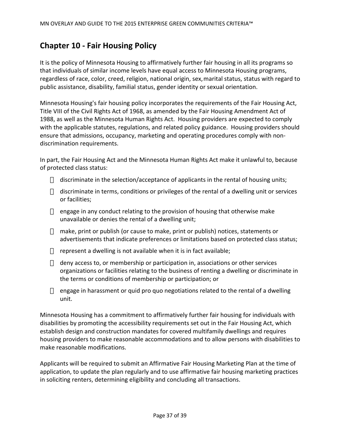# <span id="page-36-0"></span>**Chapter 10 - Fair Housing Policy**

It is the policy of Minnesota Housing to affirmatively further fair housing in all its programs so that individuals of similar income levels have equal access to Minnesota Housing programs, regardless of race, color, creed, religion, national origin, sex, marital status, status with regard to public assistance, disability, familial status, gender identity or sexual orientation.

Minnesota Housing's fair housing policy incorporates the requirements of the Fair Housing Act, Title VIII of the Civil Rights Act of 1968, as amended by the Fair Housing Amendment Act of 1988, as well as the Minnesota Human Rights Act. Housing providers are expected to comply with the applicable statutes, regulations, and related policy guidance. Housing providers should ensure that admissions, occupancy, marketing and operating procedures comply with nondiscrimination requirements.

In part, the Fair Housing Act and the Minnesota Human Rights Act make it unlawful to, because of protected class status:

discriminate in the selection/acceptance of applicants in the rental of housing units;

discriminate in terms, conditions or privileges of the rental of a dwelling unit or services or facilities;

engage in any conduct relating to the provision of housing that otherwise make unavailable or denies the rental of a dwelling unit;

make, print or publish (or cause to make, print or publish) notices, statements or advertisements that indicate preferences or limitations based on protected class status;

represent a dwelling is not available when it is in fact available;

deny access to, or membership or participation in, associations or other services organizations or facilities relating to the business of renting a dwelling or discriminate in the terms or conditions of membership or participation; or

engage in harassment or quid pro quo negotiations related to the rental of a dwelling unit.

Minnesota Housing has a commitment to affirmatively further fair housing for individuals with disabilities by promoting the accessibility requirements set out in the Fair Housing Act, which establish design and construction mandates for covered multifamily dwellings and requires housing providers to make reasonable accommodations and to allow persons with disabilities to make reasonable modifications.

Applicants will be required to submit an Affirmative Fair Housing Marketing Plan at the time of application, to update the plan regularly and to use affirmative fair housing marketing practices in soliciting renters, determining eligibility and concluding all transactions.